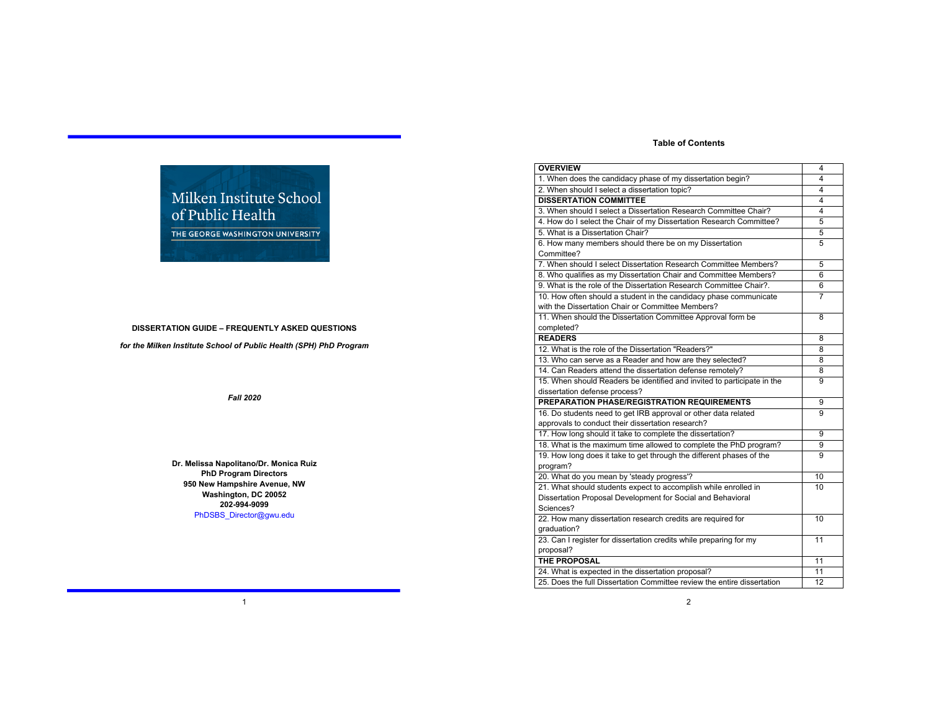# **Table of Contents**

| <b>OVERVIEW</b>                                                         | 4  |
|-------------------------------------------------------------------------|----|
| 1. When does the candidacy phase of my dissertation begin?              | 4  |
| 2. When should I select a dissertation topic?                           | 4  |
| <b>DISSERTATION COMMITTEE</b>                                           | 4  |
| 3. When should I select a Dissertation Research Committee Chair?        | 4  |
| 4. How do I select the Chair of my Dissertation Research Committee?     | 5  |
| 5. What is a Dissertation Chair?                                        | 5  |
| 6. How many members should there be on my Dissertation                  | 5  |
| Committee?                                                              |    |
| 7. When should I select Dissertation Research Committee Members?        | 5  |
| 8. Who qualifies as my Dissertation Chair and Committee Members?        | 6  |
| 9. What is the role of the Dissertation Research Committee Chair?.      | 6  |
| 10. How often should a student in the candidacy phase communicate       | 7  |
| with the Dissertation Chair or Committee Members?                       |    |
| 11. When should the Dissertation Committee Approval form be             | 8  |
| completed?                                                              |    |
| <b>READERS</b>                                                          | 8  |
| 12. What is the role of the Dissertation "Readers?"                     | 8  |
| 13. Who can serve as a Reader and how are they selected?                | 8  |
| 14. Can Readers attend the dissertation defense remotely?               | 8  |
| 15. When should Readers be identified and invited to participate in the | 9  |
| dissertation defense process?                                           |    |
| PREPARATION PHASE/REGISTRATION REQUIREMENTS                             | 9  |
| 16. Do students need to get IRB approval or other data related          | 9  |
| approvals to conduct their dissertation research?                       |    |
| 17. How long should it take to complete the dissertation?               | 9  |
| 18. What is the maximum time allowed to complete the PhD program?       | 9  |
| 19. How long does it take to get through the different phases of the    | 9  |
| program?                                                                |    |
| 20. What do you mean by 'steady progress'?                              | 10 |
| 21. What should students expect to accomplish while enrolled in         | 10 |
| Dissertation Proposal Development for Social and Behavioral             |    |
| Sciences?                                                               |    |
| 22. How many dissertation research credits are required for             | 10 |
| graduation?                                                             |    |
| 23. Can I register for dissertation credits while preparing for my      | 11 |
| proposal?                                                               |    |
| THE PROPOSAL                                                            | 11 |
| 24. What is expected in the dissertation proposal?                      | 11 |
| 25. Does the full Dissertation Committee review the entire dissertation | 12 |

# Milken Institute School of Public Health

THE GEORGE WASHINGTON UNIVERSITY

# **DISSERTATION GUIDE – FREQUENTLY ASKED QUESTIONS**

*for the Milken Institute School of Public Health (SPH) PhD Program* 

*Fall 2020*

**Dr. Melissa Napolitano/Dr. Monica Ruiz PhD Program Directors 950 New Hampshire Avenue, NW Washington, DC 20052 202-994-9099** PhDSBS\_Director@gwu.edu

1

2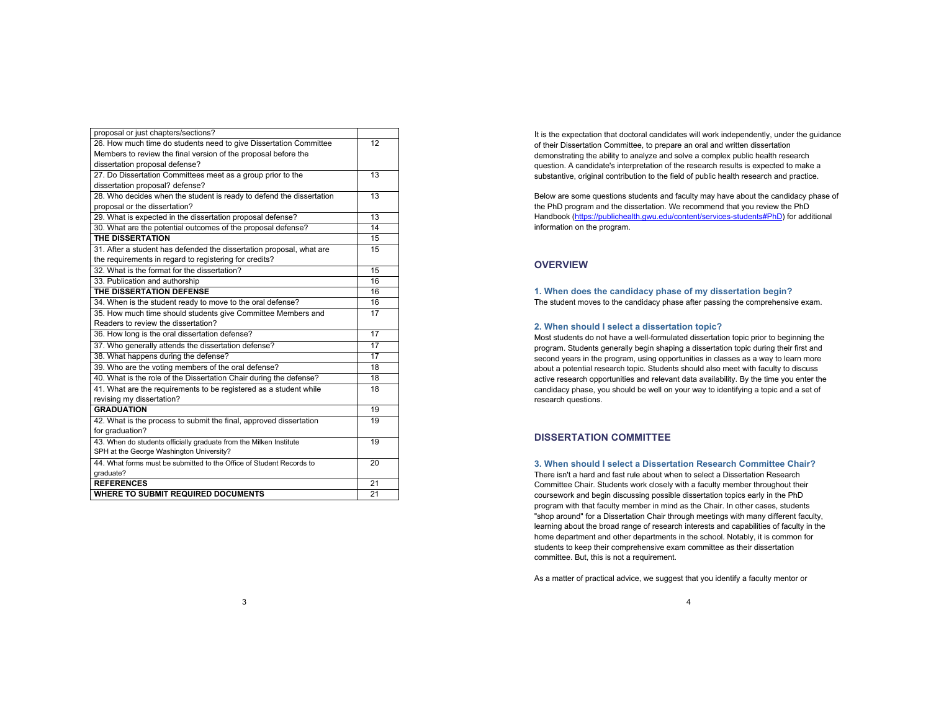| proposal or just chapters/sections?                                  |    |
|----------------------------------------------------------------------|----|
| 26. How much time do students need to give Dissertation Committee    | 12 |
| Members to review the final version of the proposal before the       |    |
| dissertation proposal defense?                                       |    |
| 27. Do Dissertation Committees meet as a group prior to the          | 13 |
| dissertation proposal? defense?                                      |    |
| 28. Who decides when the student is ready to defend the dissertation | 13 |
| proposal or the dissertation?                                        |    |
| 29. What is expected in the dissertation proposal defense?           | 13 |
| 30. What are the potential outcomes of the proposal defense?         | 14 |
| <b>THE DISSERTATION</b>                                              | 15 |
| 31. After a student has defended the dissertation proposal, what are | 15 |
| the requirements in regard to registering for credits?               |    |
| 32. What is the format for the dissertation?                         | 15 |
| 33. Publication and authorship                                       | 16 |
| THE DISSERTATION DEFENSE                                             | 16 |
| 34. When is the student ready to move to the oral defense?           | 16 |
| 35. How much time should students give Committee Members and         | 17 |
| Readers to review the dissertation?                                  |    |
| 36. How long is the oral dissertation defense?                       | 17 |
| 37. Who generally attends the dissertation defense?                  | 17 |
| 38. What happens during the defense?                                 | 17 |
| 39. Who are the voting members of the oral defense?                  | 18 |
| 40. What is the role of the Dissertation Chair during the defense?   | 18 |
| 41. What are the requirements to be registered as a student while    | 18 |
| revising my dissertation?                                            |    |
| <b>GRADUATION</b>                                                    | 19 |
| 42. What is the process to submit the final, approved dissertation   | 19 |
| for graduation?                                                      |    |
| 43. When do students officially graduate from the Milken Institute   | 19 |
| SPH at the George Washington University?                             |    |
| 44. What forms must be submitted to the Office of Student Records to | 20 |
| graduate?                                                            |    |
| <b>REFERENCES</b>                                                    | 21 |
| <b>WHERE TO SUBMIT REQUIRED DOCUMENTS</b>                            | 21 |

It is the expectation that doctoral candidates will work independently, under the guidance of their Dissertation Committee, to prepare an oral and written dissertation demonstrating the ability to analyze and solve a complex public health research question. A candidate's interpretation of the research results is expected to make a substantive, original contribution to the field of public health research and practice.

Below are some questions students and faculty may have about the candidacy phase of the PhD program and the dissertation. We recommend that you review the PhD Handbook (https://publichealth.gwu.edu/content/services-students#PhD) for additional information on the program.

# **OVERVIEW**

**1. When does the candidacy phase of my dissertation begin?**  The student moves to the candidacy phase after passing the comprehensive exam.

### **2. When should I select a dissertation topic?**

Most students do not have a well-formulated dissertation topic prior to beginning the program. Students generally begin shaping a dissertation topic during their first and second years in the program, using opportunities in classes as a way to learn more about a potential research topic. Students should also meet with faculty to discuss active research opportunities and relevant data availability. By the time you enter the candidacy phase, you should be well on your way to identifying a topic and a set of research questions.

# **DISSERTATION COMMITTEE**

# **3. When should I select a Dissertation Research Committee Chair?**

There isn't a hard and fast rule about when to select a Dissertation Research Committee Chair. Students work closely with a faculty member throughout their coursework and begin discussing possible dissertation topics early in the PhD program with that faculty member in mind as the Chair. In other cases, students "shop around" for a Dissertation Chair through meetings with many different faculty, learning about the broad range of research interests and capabilities of faculty in the home department and other departments in the school. Notably, it is common for students to keep their comprehensive exam committee as their dissertation committee. But, this is not a requirement.

As a matter of practical advice, we suggest that you identify a faculty mentor or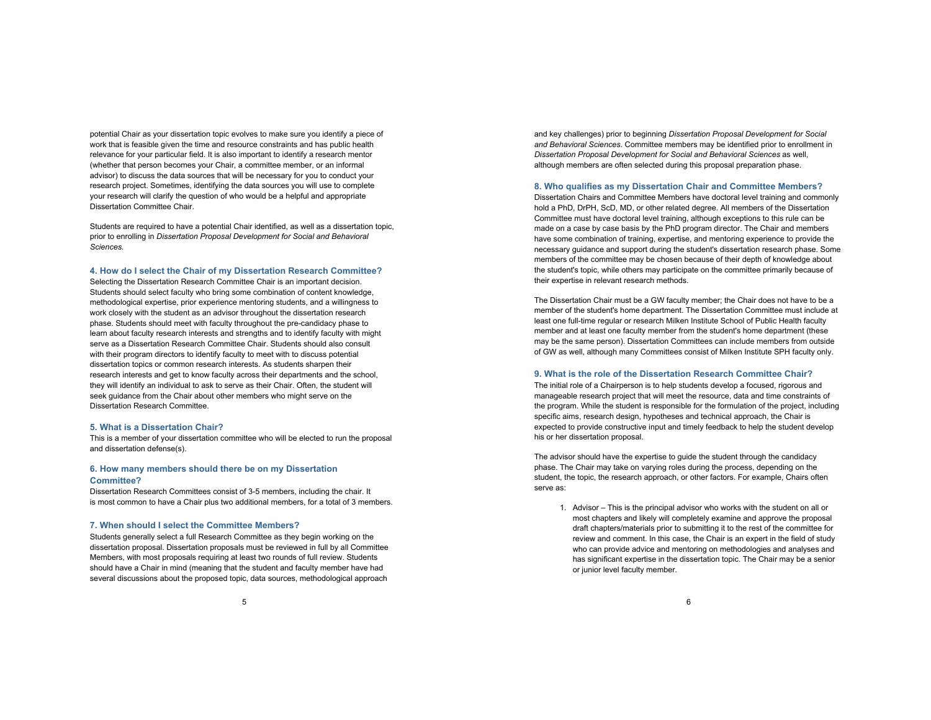potential Chair as your dissertation topic evolves to make sure you identify a piece of work that is feasible given the time and resource constraints and has public health relevance for your particular field. It is also important to identify a research mentor (whether that person becomes your Chair, a committee member, or an informal advisor) to discuss the data sources that will be necessary for you to conduct your research project. Sometimes, identifying the data sources you will use to complete your research will clarify the question of who would be a helpful and appropriate Dissertation Committee Chair.

Students are required to have a potential Chair identified, as well as a dissertation topic, prior to enrolling in *Dissertation Proposal Development for Social and Behavioral Sciences.*

**4. How do I select the Chair of my Dissertation Research Committee?** 

Selecting the Dissertation Research Committee Chair is an important decision. Students should select faculty who bring some combination of content knowledge, methodological expertise, prior experience mentoring students, and a willingness to work closely with the student as an advisor throughout the dissertation research phase. Students should meet with faculty throughout the pre-candidacy phase to learn about faculty research interests and strengths and to identify faculty with might serve as a Dissertation Research Committee Chair. Students should also consult with their program directors to identify faculty to meet with to discuss potential dissertation topics or common research interests. As students sharpen their research interests and get to know faculty across their departments and the school, they will identify an individual to ask to serve as their Chair. Often, the student will seek guidance from the Chair about other members who might serve on the Dissertation Research Committee.

#### **5. What is a Dissertation Chair?**

This is a member of your dissertation committee who will be elected to run the proposal and dissertation defense(s).

# **6. How many members should there be on my Dissertation Committee?**

Dissertation Research Committees consist of 3-5 members, including the chair. It is most common to have a Chair plus two additional members, for a total of 3 members.

#### **7. When should I select the Committee Members?**

Students generally select a full Research Committee as they begin working on the dissertation proposal. Dissertation proposals must be reviewed in full by all Committee Members, with most proposals requiring at least two rounds of full review. Students should have a Chair in mind (meaning that the student and faculty member have had several discussions about the proposed topic, data sources, methodological approach

and key challenges) prior to beginning *Dissertation Proposal Development for Social and Behavioral Sciences*. Committee members may be identified prior to enrollment in *Dissertation Proposal Development for Social and Behavioral Sciences* as well, although members are often selected during this proposal preparation phase.

#### **8. Who qualifies as my Dissertation Chair and Committee Members?**

Dissertation Chairs and Committee Members have doctoral level training and commonly hold a PhD, DrPH, ScD, MD, or other related degree. All members of the Dissertation Committee must have doctoral level training, although exceptions to this rule can be made on a case by case basis by the PhD program director. The Chair and members have some combination of training, expertise, and mentoring experience to provide the necessary guidance and support during the student's dissertation research phase. Some members of the committee may be chosen because of their depth of knowledge about the student's topic, while others may participate on the committee primarily because of their expertise in relevant research methods.

The Dissertation Chair must be a GW faculty member; the Chair does not have to be a member of the student's home department. The Dissertation Committee must include at least one full-time regular or research Milken Institute School of Public Health faculty member and at least one faculty member from the student's home department (these may be the same person). Dissertation Committees can include members from outside of GW as well, although many Committees consist of Milken Institute SPH faculty only.

#### **9. What is the role of the Dissertation Research Committee Chair?**

The initial role of a Chairperson is to help students develop a focused, rigorous and manageable research project that will meet the resource, data and time constraints of the program. While the student is responsible for the formulation of the project, including specific aims, research design, hypotheses and technical approach, the Chair is expected to provide constructive input and timely feedback to help the student develop his or her dissertation proposal.

The advisor should have the expertise to guide the student through the candidacy phase. The Chair may take on varying roles during the process, depending on the student, the topic, the research approach, or other factors. For example, Chairs often serve as:

1. Advisor – This is the principal advisor who works with the student on all or most chapters and likely will completely examine and approve the proposal draft chapters/materials prior to submitting it to the rest of the committee for review and comment. In this case, the Chair is an expert in the field of study who can provide advice and mentoring on methodologies and analyses and has significant expertise in the dissertation topic. The Chair may be a senior or junior level faculty member.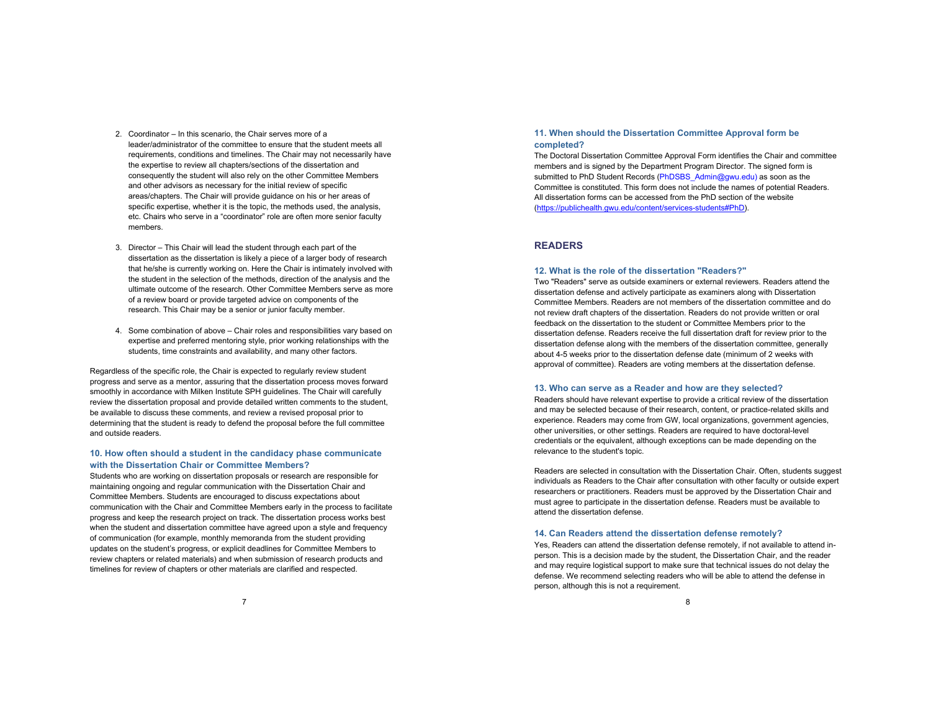- 2. Coordinator In this scenario, the Chair serves more of a leader/administrator of the committee to ensure that the student meets all requirements, conditions and timelines. The Chair may not necessarily have the expertise to review all chapters/sections of the dissertation and consequently the student will also rely on the other Committee Members and other advisors as necessary for the initial review of specific areas/chapters. The Chair will provide guidance on his or her areas of specific expertise, whether it is the topic, the methods used, the analysis, etc. Chairs who serve in a "coordinator" role are often more senior faculty members.
- 3. Director This Chair will lead the student through each part of the dissertation as the dissertation is likely a piece of a larger body of research that he/she is currently working on. Here the Chair is intimately involved with the student in the selection of the methods, direction of the analysis and the ultimate outcome of the research. Other Committee Members serve as more of a review board or provide targeted advice on components of the research. This Chair may be a senior or junior faculty member.
- 4. Some combination of above Chair roles and responsibilities vary based on expertise and preferred mentoring style, prior working relationships with the students, time constraints and availability, and many other factors.

Regardless of the specific role, the Chair is expected to regularly review student progress and serve as a mentor, assuring that the dissertation process moves forward smoothly in accordance with Milken Institute SPH guidelines. The Chair will carefully review the dissertation proposal and provide detailed written comments to the student, be available to discuss these comments, and review a revised proposal prior to determining that the student is ready to defend the proposal before the full committee and outside readers.

## **10. How often should a student in the candidacy phase communicate with the Dissertation Chair or Committee Members?**

Students who are working on dissertation proposals or research are responsible for maintaining ongoing and regular communication with the Dissertation Chair and Committee Members. Students are encouraged to discuss expectations about communication with the Chair and Committee Members early in the process to facilitate progress and keep the research project on track. The dissertation process works best when the student and dissertation committee have agreed upon a style and frequency of communication (for example, monthly memoranda from the student providing updates on the student's progress, or explicit deadlines for Committee Members to review chapters or related materials) and when submission of research products and timelines for review of chapters or other materials are clarified and respected.

# **11. When should the Dissertation Committee Approval form be completed?**

The Doctoral Dissertation Committee Approval Form identifies the Chair and committee members and is signed by the Department Program Director. The signed form is submitted to PhD Student Records (PhDSBS\_Admin@gwu.edu) as soon as the Committee is constituted. This form does not include the names of potential Readers. All dissertation forms can be accessed from the PhD section of the website (https://publichealth.gwu.edu/content/services-students#PhD).

# **READERS**

#### **12. What is the role of the dissertation "Readers?"**

Two "Readers" serve as outside examiners or external reviewers. Readers attend the dissertation defense and actively participate as examiners along with Dissertation Committee Members. Readers are not members of the dissertation committee and do not review draft chapters of the dissertation. Readers do not provide written or oral feedback on the dissertation to the student or Committee Members prior to the dissertation defense. Readers receive the full dissertation draft for review prior to the dissertation defense along with the members of the dissertation committee, generally about 4-5 weeks prior to the dissertation defense date (minimum of 2 weeks with approval of committee). Readers are voting members at the dissertation defense.

#### **13. Who can serve as a Reader and how are they selected?**

Readers should have relevant expertise to provide a critical review of the dissertation and may be selected because of their research, content, or practice-related skills and experience. Readers may come from GW, local organizations, government agencies, other universities, or other settings. Readers are required to have doctoral-level credentials or the equivalent, although exceptions can be made depending on the relevance to the student's topic.

Readers are selected in consultation with the Dissertation Chair. Often, students suggest individuals as Readers to the Chair after consultation with other faculty or outside expert researchers or practitioners. Readers must be approved by the Dissertation Chair and must agree to participate in the dissertation defense. Readers must be available to attend the dissertation defense.

#### **14. Can Readers attend the dissertation defense remotely?**

Yes, Readers can attend the dissertation defense remotely, if not available to attend inperson. This is a decision made by the student, the Dissertation Chair, and the reader and may require logistical support to make sure that technical issues do not delay the defense. We recommend selecting readers who will be able to attend the defense in person, although this is not a requirement.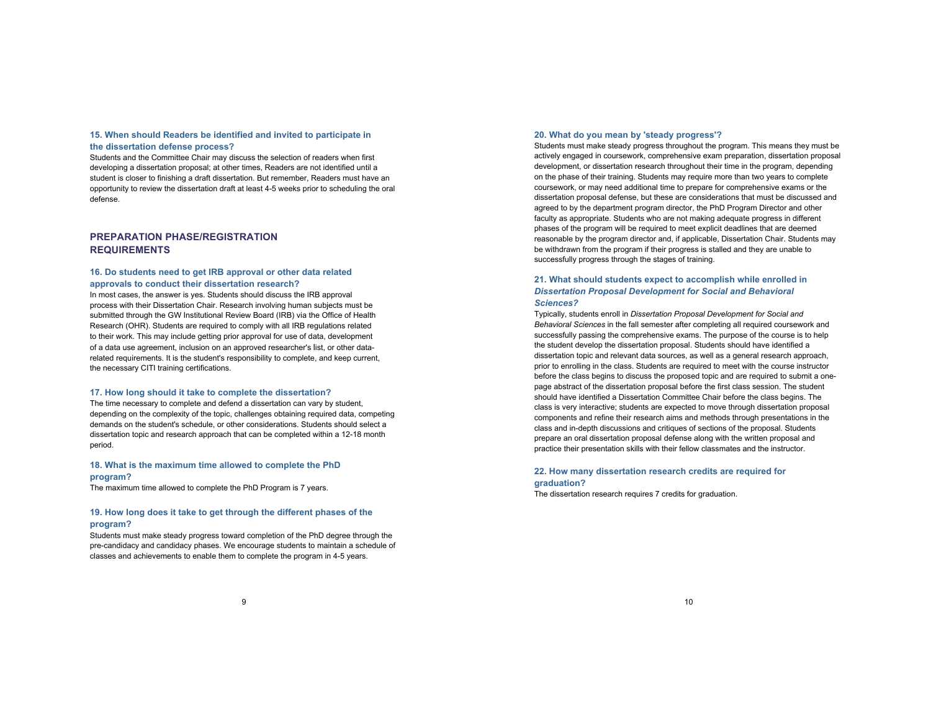# **15. When should Readers be identified and invited to participate in**

# **the dissertation defense process?**

Students and the Committee Chair may discuss the selection of readers when first developing a dissertation proposal; at other times, Readers are not identified until a student is closer to finishing a draft dissertation. But remember, Readers must have an opportunity to review the dissertation draft at least 4-5 weeks prior to scheduling the oral defense.

# **PREPARATION PHASE/REGISTRATION REQUIREMENTS**

# **16. Do students need to get IRB approval or other data related approvals to conduct their dissertation research?**

In most cases, the answer is yes. Students should discuss the IRB approval process with their Dissertation Chair. Research involving human subjects must be submitted through the GW Institutional Review Board (IRB) via the Office of Health Research (OHR). Students are required to comply with all IRB regulations related to their work. This may include getting prior approval for use of data, development of a data use agreement, inclusion on an approved researcher's list, or other datarelated requirements. It is the student's responsibility to complete, and keep current, the necessary CITI training certifications.

#### **17. How long should it take to complete the dissertation?**

The time necessary to complete and defend a dissertation can vary by student, depending on the complexity of the topic, challenges obtaining required data, competing demands on the student's schedule, or other considerations. Students should select a dissertation topic and research approach that can be completed within a 12-18 month period.

# **18. What is the maximum time allowed to complete the PhD**

# **program?**

The maximum time allowed to complete the PhD Program is 7 years.

# **19. How long does it take to get through the different phases of the program?**

Students must make steady progress toward completion of the PhD degree through the pre-candidacy and candidacy phases. We encourage students to maintain a schedule of classes and achievements to enable them to complete the program in 4-5 years.

#### **20. What do you mean by 'steady progress'?**

Students must make steady progress throughout the program. This means they must be actively engaged in coursework, comprehensive exam preparation, dissertation proposal development, or dissertation research throughout their time in the program, depending on the phase of their training. Students may require more than two years to complete coursework, or may need additional time to prepare for comprehensive exams or the dissertation proposal defense, but these are considerations that must be discussed and agreed to by the department program director, the PhD Program Director and other faculty as appropriate. Students who are not making adequate progress in different phases of the program will be required to meet explicit deadlines that are deemed reasonable by the program director and, if applicable, Dissertation Chair. Students may be withdrawn from the program if their progress is stalled and they are unable to successfully progress through the stages of training.

# **21. What should students expect to accomplish while enrolled in**  *Dissertation Proposal Development for Social and Behavioral Sciences?*

Typically, students enroll in *Dissertation Proposal Development for Social and Behavioral Sciences* in the fall semester after completing all required coursework and successfully passing the comprehensive exams. The purpose of the course is to help the student develop the dissertation proposal. Students should have identified a dissertation topic and relevant data sources, as well as a general research approach, prior to enrolling in the class. Students are required to meet with the course instructor before the class begins to discuss the proposed topic and are required to submit a onepage abstract of the dissertation proposal before the first class session. The student should have identified a Dissertation Committee Chair before the class begins. The class is very interactive; students are expected to move through dissertation proposal components and refine their research aims and methods through presentations in the class and in-depth discussions and critiques of sections of the proposal. Students prepare an oral dissertation proposal defense along with the written proposal and practice their presentation skills with their fellow classmates and the instructor.

# **22. How many dissertation research credits are required for graduation?**

The dissertation research requires 7 credits for graduation.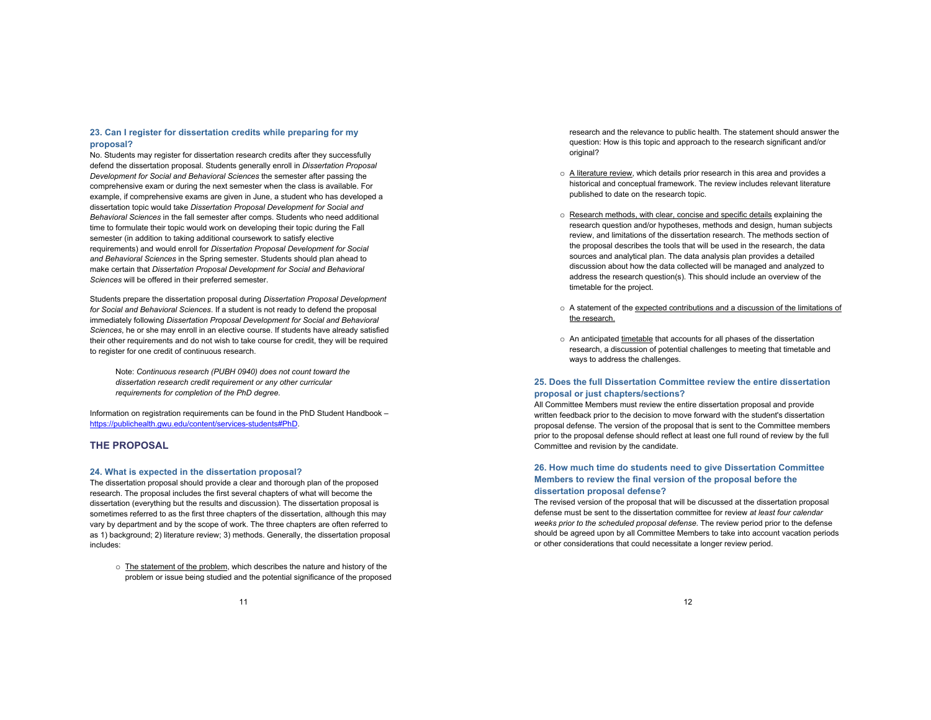# **23. Can I register for dissertation credits while preparing for my proposal?**

No. Students may register for dissertation research credits after they successfully defend the dissertation proposal. Students generally enroll in *Dissertation Proposal Development for Social and Behavioral Sciences* the semester after passing the comprehensive exam or during the next semester when the class is available. For example, if comprehensive exams are given in June, a student who has developed a dissertation topic would take *Dissertation Proposal Development for Social and Behavioral Sciences* in the fall semester after comps. Students who need additional time to formulate their topic would work on developing their topic during the Fall semester (in addition to taking additional coursework to satisfy elective requirements) and would enroll for *Dissertation Proposal Development for Social and Behavioral Sciences* in the Spring semester. Students should plan ahead to make certain that *Dissertation Proposal Development for Social and Behavioral Sciences* will be offered in their preferred semester.

Students prepare the dissertation proposal during *Dissertation Proposal Development for Social and Behavioral Sciences*. If a student is not ready to defend the proposal immediately following *Dissertation Proposal Development for Social and Behavioral Sciences*, he or she may enroll in an elective course. If students have already satisfied their other requirements and do not wish to take course for credit, they will be required to register for one credit of continuous research.

Note: *Continuous research (PUBH 0940) does not count toward the dissertation research credit requirement or any other curricular requirements for completion of the PhD degree.* 

Information on registration requirements can be found in the PhD Student Handbook – https://publichealth.gwu.edu/content/services-students#PhD.

# **THE PROPOSAL**

#### **24. What is expected in the dissertation proposal?**

The dissertation proposal should provide a clear and thorough plan of the proposed research. The proposal includes the first several chapters of what will become the dissertation (everything but the results and discussion). The dissertation proposal is sometimes referred to as the first three chapters of the dissertation, although this may vary by department and by the scope of work. The three chapters are often referred to as 1) background; 2) literature review; 3) methods. Generally, the dissertation proposal includes:

o The statement of the problem, which describes the nature and history of the problem or issue being studied and the potential significance of the proposed research and the relevance to public health. The statement should answer the question: How is this topic and approach to the research significant and/or original?

- o A literature review, which details prior research in this area and provides a historical and conceptual framework. The review includes relevant literature published to date on the research topic.
- o Research methods, with clear, concise and specific details explaining the research question and/or hypotheses, methods and design, human subjects review, and limitations of the dissertation research. The methods section of the proposal describes the tools that will be used in the research, the data sources and analytical plan. The data analysis plan provides a detailed discussion about how the data collected will be managed and analyzed to address the research question(s). This should include an overview of the timetable for the project.
- o A statement of the expected contributions and a discussion of the limitations of the research.
- o An anticipated timetable that accounts for all phases of the dissertation research, a discussion of potential challenges to meeting that timetable and ways to address the challenges.

# **25. Does the full Dissertation Committee review the entire dissertation proposal or just chapters/sections?**

All Committee Members must review the entire dissertation proposal and provide written feedback prior to the decision to move forward with the student's dissertation proposal defense. The version of the proposal that is sent to the Committee members prior to the proposal defense should reflect at least one full round of review by the full Committee and revision by the candidate.

# **26. How much time do students need to give Dissertation Committee Members to review the final version of the proposal before the dissertation proposal defense?**

The revised version of the proposal that will be discussed at the dissertation proposal defense must be sent to the dissertation committee for review *at least four calendar weeks prior to the scheduled proposal defense*. The review period prior to the defense should be agreed upon by all Committee Members to take into account vacation periods or other considerations that could necessitate a longer review period.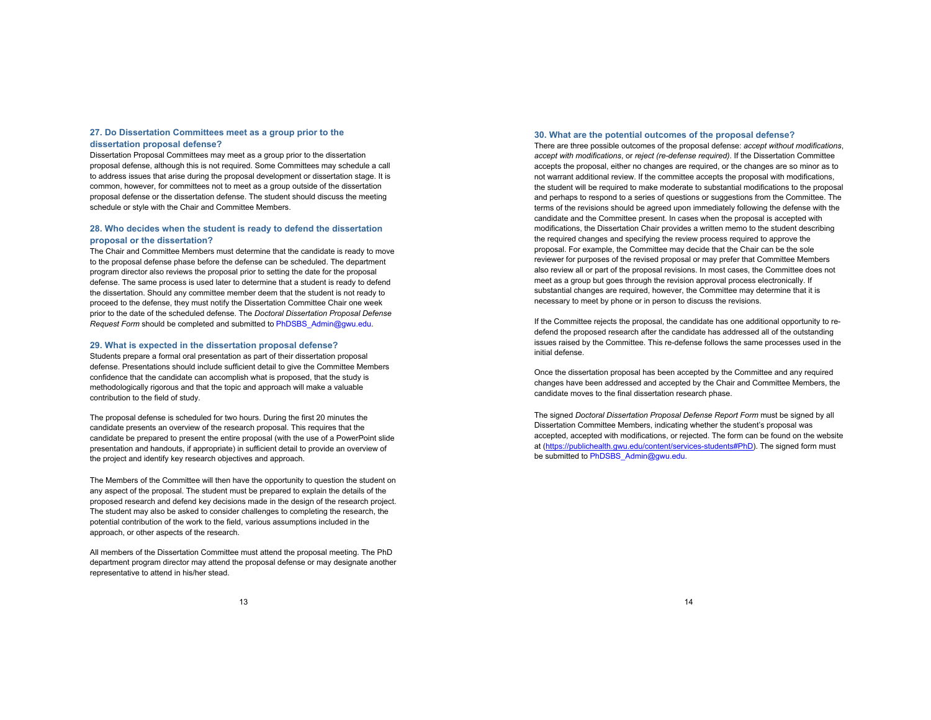# **27. Do Dissertation Committees meet as a group prior to the dissertation proposal defense?**

Dissertation Proposal Committees may meet as a group prior to the dissertation proposal defense, although this is not required. Some Committees may schedule a call to address issues that arise during the proposal development or dissertation stage. It is common, however, for committees not to meet as a group outside of the dissertation proposal defense or the dissertation defense. The student should discuss the meeting schedule or style with the Chair and Committee Members.

# **28. Who decides when the student is ready to defend the dissertation proposal or the dissertation?**

The Chair and Committee Members must determine that the candidate is ready to move to the proposal defense phase before the defense can be scheduled. The department program director also reviews the proposal prior to setting the date for the proposal defense. The same process is used later to determine that a student is ready to defend the dissertation. Should any committee member deem that the student is not ready to proceed to the defense, they must notify the Dissertation Committee Chair one week prior to the date of the scheduled defense. The *Doctoral Dissertation Proposal Defense Request Form* should be completed and submitted to PhDSBS\_Admin@gwu.edu.

#### **29. What is expected in the dissertation proposal defense?**

Students prepare a formal oral presentation as part of their dissertation proposal defense. Presentations should include sufficient detail to give the Committee Members confidence that the candidate can accomplish what is proposed, that the study is methodologically rigorous and that the topic and approach will make a valuable contribution to the field of study.

The proposal defense is scheduled for two hours. During the first 20 minutes the candidate presents an overview of the research proposal. This requires that the candidate be prepared to present the entire proposal (with the use of a PowerPoint slide presentation and handouts, if appropriate) in sufficient detail to provide an overview of the project and identify key research objectives and approach.

The Members of the Committee will then have the opportunity to question the student on any aspect of the proposal. The student must be prepared to explain the details of the proposed research and defend key decisions made in the design of the research project. The student may also be asked to consider challenges to completing the research, the potential contribution of the work to the field, various assumptions included in the approach, or other aspects of the research.

All members of the Dissertation Committee must attend the proposal meeting. The PhD department program director may attend the proposal defense or may designate another representative to attend in his/her stead.

#### **30. What are the potential outcomes of the proposal defense?**

There are three possible outcomes of the proposal defense: *accept without modifications*, *accept with modifications*, or *reject (re-defense required)*. If the Dissertation Committee accepts the proposal, either no changes are required, or the changes are so minor as to not warrant additional review. If the committee accepts the proposal with modifications, the student will be required to make moderate to substantial modifications to the proposal and perhaps to respond to a series of questions or suggestions from the Committee. The terms of the revisions should be agreed upon immediately following the defense with the candidate and the Committee present. In cases when the proposal is accepted with modifications, the Dissertation Chair provides a written memo to the student describing the required changes and specifying the review process required to approve the proposal. For example, the Committee may decide that the Chair can be the sole reviewer for purposes of the revised proposal or may prefer that Committee Members also review all or part of the proposal revisions. In most cases, the Committee does not meet as a group but goes through the revision approval process electronically. If substantial changes are required, however, the Committee may determine that it is necessary to meet by phone or in person to discuss the revisions.

If the Committee rejects the proposal, the candidate has one additional opportunity to redefend the proposed research after the candidate has addressed all of the outstanding issues raised by the Committee. This re-defense follows the same processes used in the initial defense.

Once the dissertation proposal has been accepted by the Committee and any required changes have been addressed and accepted by the Chair and Committee Members, the candidate moves to the final dissertation research phase.

The signed *Doctoral Dissertation Proposal Defense Report Form* must be signed by all Dissertation Committee Members, indicating whether the student's proposal was accepted, accepted with modifications, or rejected. The form can be found on the website at (https://publichealth.gwu.edu/content/services-students#PhD). The signed form must be submitted to PhDSBS\_Admin@gwu.edu.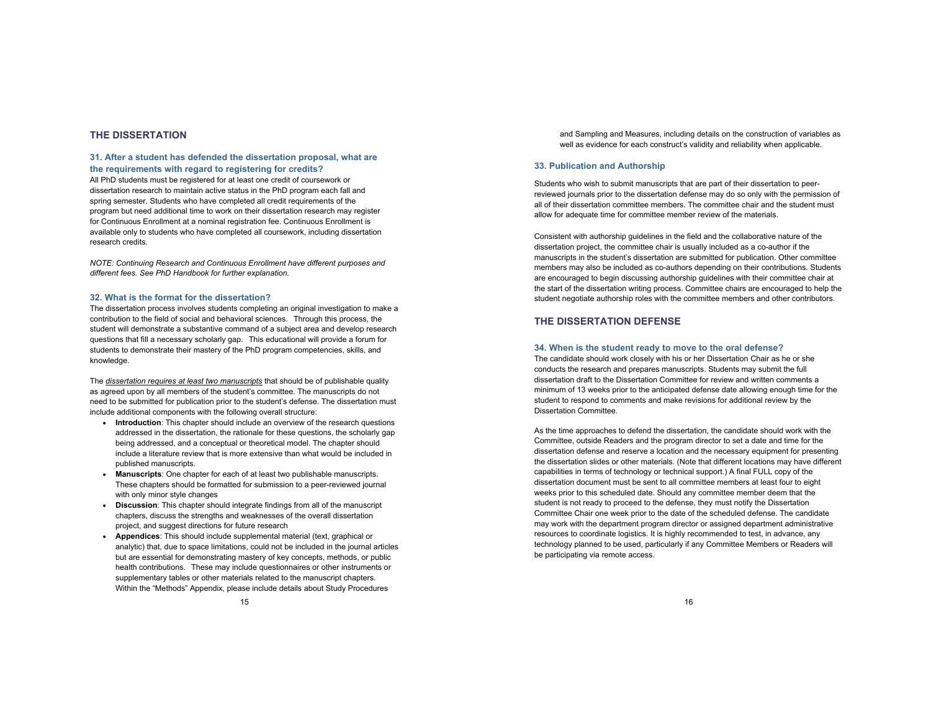# **THE DISSERTATION**

## **31. After a student has defended the dissertation proposal, what are the requirements with regard to registering for credits?**

All PhD students must be registered for at least one credit of coursework or dissertation research to maintain active status in the PhD program each fall and spring semester. Students who have completed all credit requirements of the program but need additional time to work on their dissertation research may register for Continuous Enrollment at a nominal registration fee. Continuous Enrollment is available only to students who have completed all coursework, including dissertation research credits.

*NOTE: Continuing Research and Continuous Enrollment have different purposes and different fees. See PhD Handbook for further explanation.*

#### **32. What is the format for the dissertation?**

The dissertation process involves students completing an original investigation to make a contribution to the field of social and behavioral sciences. Through this process, the student will demonstrate a substantive command of a subject area and develop research questions that fill a necessary scholarly gap. This educational will provide a forum for students to demonstrate their mastery of the PhD program competencies, skills, and knowledge.

The *dissertation requires at least two manuscripts* that should be of publishable quality as agreed upon by all members of the student's committee. The manuscripts do not need to be submitted for publication prior to the student's defense. The dissertation must include additional components with the following overall structure:

- **Introduction**: This chapter should include an overview of the research questions addressed in the dissertation, the rationale for these questions, the scholarly gap being addressed, and a conceptual or theoretical model. The chapter should include a literature review that is more extensive than what would be included in published manuscripts.
- **Manuscripts**: One chapter for each of at least two publishable manuscripts. These chapters should be formatted for submission to a peer-reviewed journal with only minor style changes
- **Discussion**: This chapter should integrate findings from all of the manuscript chapters, discuss the strengths and weaknesses of the overall dissertation project, and suggest directions for future research
- **Appendices**: This should include supplemental material (text, graphical or analytic) that, due to space limitations, could not be included in the journal articles but are essential for demonstrating mastery of key concepts, methods, or public health contributions. These may include questionnaires or other instruments or supplementary tables or other materials related to the manuscript chapters. Within the "Methods" Appendix, please include details about Study Procedures

and Sampling and Measures, including details on the construction of variables as well as evidence for each construct's validity and reliability when applicable.

#### **33. Publication and Authorship**

Students who wish to submit manuscripts that are part of their dissertation to peerreviewed journals prior to the dissertation defense may do so only with the permission of all of their dissertation committee members. The committee chair and the student must allow for adequate time for committee member review of the materials.

Consistent with authorship guidelines in the field and the collaborative nature of the dissertation project, the committee chair is usually included as a co-author if the manuscripts in the student's dissertation are submitted for publication. Other committee members may also be included as co-authors depending on their contributions. Students are encouraged to begin discussing authorship guidelines with their committee chair at the start of the dissertation writing process. Committee chairs are encouraged to help the student negotiate authorship roles with the committee members and other contributors.

# **THE DISSERTATION DEFENSE**

#### **34. When is the student ready to move to the oral defense?**

The candidate should work closely with his or her Dissertation Chair as he or she conducts the research and prepares manuscripts. Students may submit the full dissertation draft to the Dissertation Committee for review and written comments a minimum of 13 weeks prior to the anticipated defense date allowing enough time for the student to respond to comments and make revisions for additional review by the Dissertation Committee.

As the time approaches to defend the dissertation, the candidate should work with the Committee, outside Readers and the program director to set a date and time for the dissertation defense and reserve a location and the necessary equipment for presenting the dissertation slides or other materials. (Note that different locations may have different capabilities in terms of technology or technical support.) A final FULL copy of the dissertation document must be sent to all committee members at least four to eight weeks prior to this scheduled date. Should any committee member deem that the student is not ready to proceed to the defense, they must notify the Dissertation Committee Chair one week prior to the date of the scheduled defense. The candidate may work with the department program director or assigned department administrative resources to coordinate logistics. It is highly recommended to test, in advance, any technology planned to be used, particularly if any Committee Members or Readers will be participating via remote access.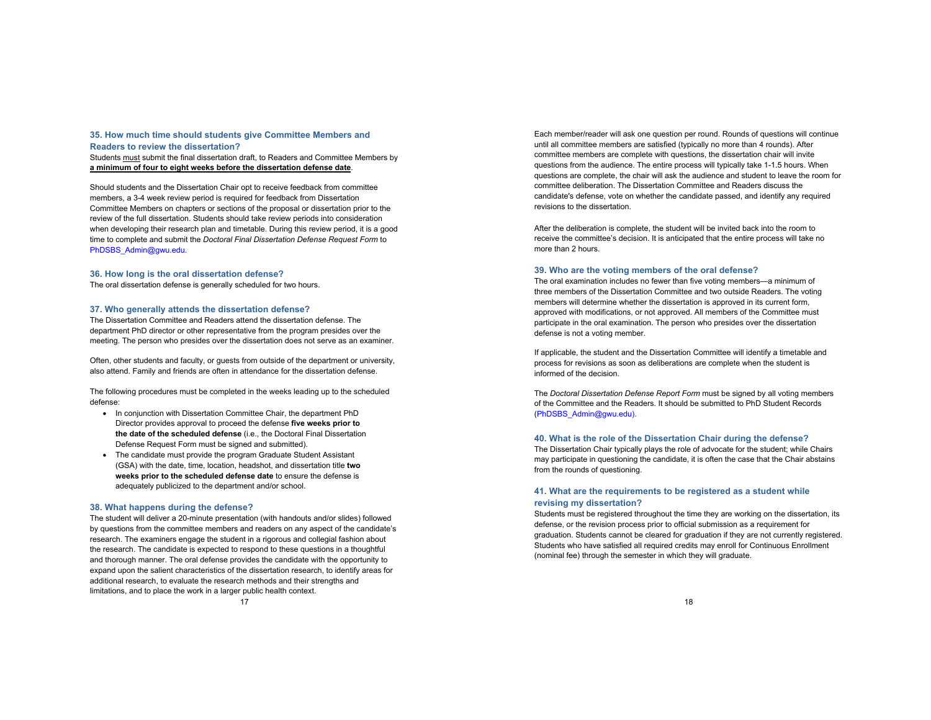# **35. How much time should students give Committee Members and**

**Readers to review the dissertation?** 

Students must submit the final dissertation draft, to Readers and Committee Members by **a minimum of four to eight weeks before the dissertation defense date**.

Should students and the Dissertation Chair opt to receive feedback from committee members, a 3-4 week review period is required for feedback from Dissertation Committee Members on chapters or sections of the proposal or dissertation prior to the review of the full dissertation. Students should take review periods into consideration when developing their research plan and timetable. During this review period, it is a good time to complete and submit the *Doctoral Final Dissertation Defense Request Form* to PhDSBS\_Admin@gwu.edu.

#### **36. How long is the oral dissertation defense?**

The oral dissertation defense is generally scheduled for two hours.

#### **37. Who generally attends the dissertation defense?**

The Dissertation Committee and Readers attend the dissertation defense. The department PhD director or other representative from the program presides over the meeting. The person who presides over the dissertation does not serve as an examiner.

Often, other students and faculty, or guests from outside of the department or university, also attend. Family and friends are often in attendance for the dissertation defense.

The following procedures must be completed in the weeks leading up to the scheduled defense:

- In conjunction with Dissertation Committee Chair, the department PhD Director provides approval to proceed the defense **five weeks prior to the date of the scheduled defense** (i.e., the Doctoral Final Dissertation Defense Request Form must be signed and submitted).
- The candidate must provide the program Graduate Student Assistant (GSA) with the date, time, location, headshot, and dissertation title **two weeks prior to the scheduled defense date** to ensure the defense is adequately publicized to the department and/or school.

#### **38. What happens during the defense?**

The student will deliver a 20-minute presentation (with handouts and/or slides) followed by questions from the committee members and readers on any aspect of the candidate's research. The examiners engage the student in a rigorous and collegial fashion about the research. The candidate is expected to respond to these questions in a thoughtful and thorough manner. The oral defense provides the candidate with the opportunity to expand upon the salient characteristics of the dissertation research, to identify areas for additional research, to evaluate the research methods and their strengths and limitations, and to place the work in a larger public health context.

Each member/reader will ask one question per round. Rounds of questions will continue until all committee members are satisfied (typically no more than 4 rounds). After committee members are complete with questions, the dissertation chair will invite questions from the audience. The entire process will typically take 1-1.5 hours. When questions are complete, the chair will ask the audience and student to leave the room for committee deliberation. The Dissertation Committee and Readers discuss the candidate's defense, vote on whether the candidate passed, and identify any required revisions to the dissertation.

After the deliberation is complete, the student will be invited back into the room to receive the committee's decision. It is anticipated that the entire process will take no more than 2 hours.

#### **39. Who are the voting members of the oral defense?**

The oral examination includes no fewer than five voting members—a minimum of three members of the Dissertation Committee and two outside Readers. The voting members will determine whether the dissertation is approved in its current form, approved with modifications, or not approved. All members of the Committee must participate in the oral examination. The person who presides over the dissertation defense is not a voting member.

If applicable, the student and the Dissertation Committee will identify a timetable and process for revisions as soon as deliberations are complete when the student is informed of the decision.

The *Doctoral Dissertation Defense Report Form* must be signed by all voting members of the Committee and the Readers. It should be submitted to PhD Student Records (PhDSBS\_Admin@gwu.edu).

#### **40. What is the role of the Dissertation Chair during the defense?**

The Dissertation Chair typically plays the role of advocate for the student; while Chairs may participate in questioning the candidate, it is often the case that the Chair abstains from the rounds of questioning.

# **41. What are the requirements to be registered as a student while revising my dissertation?**

Students must be registered throughout the time they are working on the dissertation, its defense, or the revision process prior to official submission as a requirement for graduation. Students cannot be cleared for graduation if they are not currently registered. Students who have satisfied all required credits may enroll for Continuous Enrollment (nominal fee) through the semester in which they will graduate.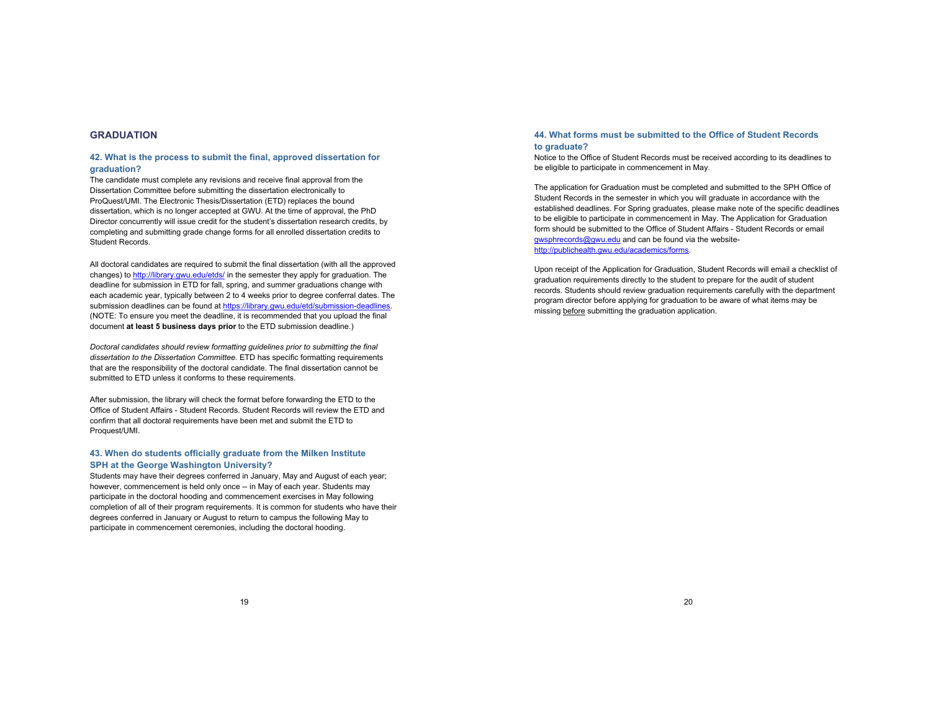# **GRADUATION**

# **42. What is the process to submit the final, approved dissertation for graduation?**

The candidate must complete any revisions and receive final approval from the Dissertation Committee before submitting the dissertation electronically to ProQuest/UMI. The Electronic Thesis/Dissertation (ETD) replaces the bound dissertation, which is no longer accepted at GWU. At the time of approval, the PhD Director concurrently will issue credit for the student's dissertation research credits, by completing and submitting grade change forms for all enrolled dissertation credits to Student Records.

All doctoral candidates are required to submit the final dissertation (with all the approved changes) to http://library.gwu.edu/etds/ in the semester they apply for graduation. The deadline for submission in ETD for fall, spring, and summer graduations change with each academic year, typically between 2 to 4 weeks prior to degree conferral dates. The submission deadlines can be found at https://library.gwu.edu/etd/submission-deadlines. (NOTE: To ensure you meet the deadline, it is recommended that you upload the final document **at least 5 business days prior** to the ETD submission deadline.)

*Doctoral candidates should review formatting guidelines prior to submitting the final dissertation to the Dissertation Committee.* ETD has specific formatting requirements that are the responsibility of the doctoral candidate. The final dissertation cannot be submitted to ETD unless it conforms to these requirements.

After submission, the library will check the format before forwarding the ETD to the Office of Student Affairs - Student Records. Student Records will review the ETD and confirm that all doctoral requirements have been met and submit the ETD to Proquest/UMI.

# **43. When do students officially graduate from the Milken Institute SPH at the George Washington University?**

Students may have their degrees conferred in January, May and August of each year; however, commencement is held only once -- in May of each year. Students may participate in the doctoral hooding and commencement exercises in May following completion of all of their program requirements. It is common for students who have their degrees conferred in January or August to return to campus the following May to participate in commencement ceremonies, including the doctoral hooding.

# **44. What forms must be submitted to the Office of Student Records to graduate?**

Notice to the Office of Student Records must be received according to its deadlines to be eligible to participate in commencement in May.

The application for Graduation must be completed and submitted to the SPH Office of Student Records in the semester in which you will graduate in accordance with the established deadlines. For Spring graduates, please make note of the specific deadlines to be eligible to participate in commencement in May. The Application for Graduation form should be submitted to the Office of Student Affairs - Student Records or email gwsphrecords@gwu.edu and can be found via the websitehttp://publichealth.gwu.edu/academics/forms.

Upon receipt of the Application for Graduation, Student Records will email a checklist of graduation requirements directly to the student to prepare for the audit of student records. Students should review graduation requirements carefully with the department program director before applying for graduation to be aware of what items may be missing before submitting the graduation application.